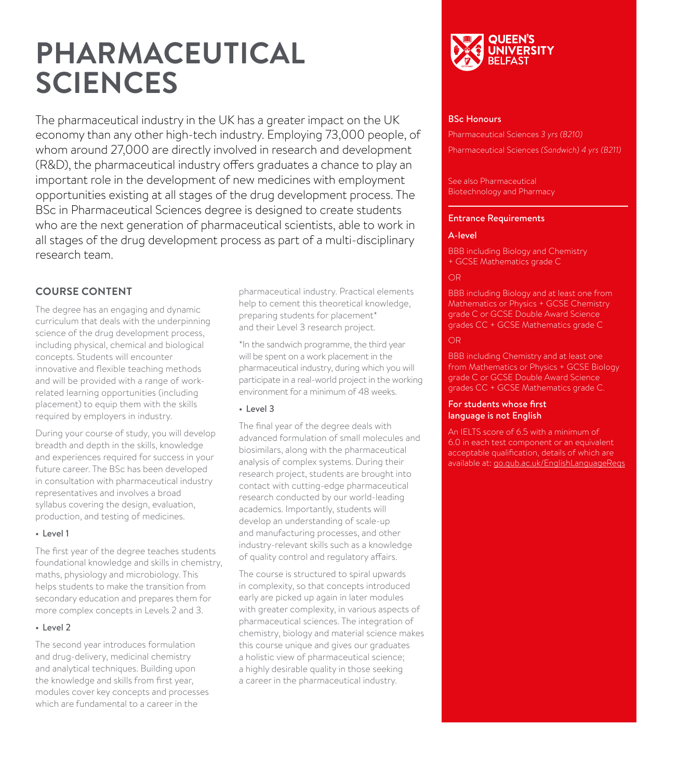# **PHARMACEUTICAL SCIENCES**

The pharmaceutical industry in the UK has a greater impact on the UK economy than any other high-tech industry. Employing 73,000 people, of whom around 27,000 are directly involved in research and development (R&D), the pharmaceutical industry offers graduates a chance to play an important role in the development of new medicines with employment opportunities existing at all stages of the drug development process. The BSc in Pharmaceutical Sciences degree is designed to create students who are the next generation of pharmaceutical scientists, able to work in all stages of the drug development process as part of a multi-disciplinary research team.

# **COURSE CONTENT**

The degree has an engaging and dynamic curriculum that deals with the underpinning science of the drug development process, including physical, chemical and biological concepts. Students will encounter innovative and flexible teaching methods and will be provided with a range of workrelated learning opportunities (including placement) to equip them with the skills required by employers in industry.

During your course of study, you will develop breadth and depth in the skills, knowledge and experiences required for success in your future career. The BSc has been developed in consultation with pharmaceutical industry representatives and involves a broad syllabus covering the design, evaluation, production, and testing of medicines.

#### • Level 1

The first year of the degree teaches students foundational knowledge and skills in chemistry, maths, physiology and microbiology. This helps students to make the transition from secondary education and prepares them for more complex concepts in Levels 2 and 3.

#### • Level 2

The second year introduces formulation and drug-delivery, medicinal chemistry and analytical techniques. Building upon the knowledge and skills from first year, modules cover key concepts and processes which are fundamental to a career in the

pharmaceutical industry. Practical elements help to cement this theoretical knowledge, preparing students for placement\* and their Level 3 research project.

\*In the sandwich programme, the third year will be spent on a work placement in the pharmaceutical industry, during which you will participate in a real-world project in the working environment for a minimum of 48 weeks.

## • Level 3

The final year of the degree deals with advanced formulation of small molecules and biosimilars, along with the pharmaceutical analysis of complex systems. During their research project, students are brought into contact with cutting-edge pharmaceutical research conducted by our world-leading academics. Importantly, students will develop an understanding of scale-up and manufacturing processes, and other industry-relevant skills such as a knowledge of quality control and regulatory affairs.

The course is structured to spiral upwards in complexity, so that concepts introduced early are picked up again in later modules with greater complexity, in various aspects of pharmaceutical sciences. The integration of chemistry, biology and material science makes this course unique and gives our graduates a holistic view of pharmaceutical science; a highly desirable quality in those seeking a career in the pharmaceutical industry.



#### BSc Honours

Pharmaceutical Sciences *3 yrs (B210)*  Pharmaceutical Sciences *(Sandwich) 4 yrs (B211)*

#### See also Pharmaceutical Biotechnology and Pharmacy

#### Entrance Requirements

## A-level

BBB including Biology and Chemistry + GCSE Mathematics grade C

# OR

**BBB** including Biology and at least one from Mathematics or Physics + GCSE Chemistry grade C or GCSE Double Award Science grades CC + GCSE Mathematics grade C

# OR

BBB including Chemistry and at least one from Mathematics or Physics + GCSE Biology grade C or GCSE Double Award Science grades CC + GCSE Mathematics grade C.

#### For students whose first language is not English

An IELTS score of 6.5 with a minimum of 6.0 in each test component or an equivalent acceptable qualification, details of which are available at: [go.qub.ac.uk/EnglishLanguageReqs](http://go.qub.ac.uk/EnglishLanguageReqs)